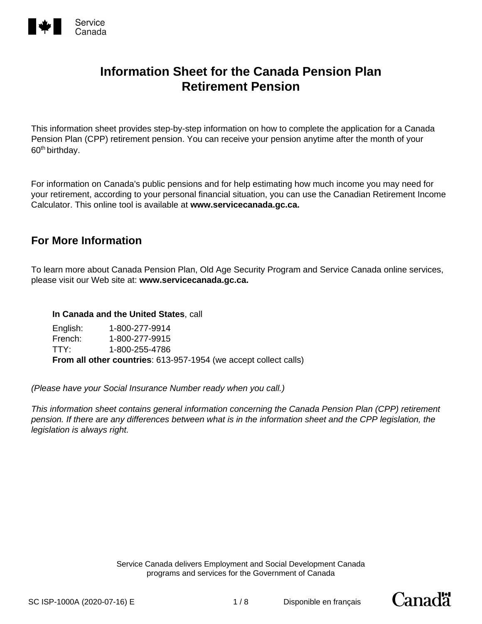

This information sheet provides step-by-step information on how to complete the application for a Canada Pension Plan (CPP) retirement pension. You can receive your pension anytime after the month of your 60<sup>th</sup> birthday.

For information on Canada's public pensions and for help estimating how much income you may need for your retirement, according to your personal financial situation, you can use the Canadian Retirement Income Calculator. This online tool is available at **www.servicecanada.gc.ca.**

## **For More Information**

To learn more about Canada Pension Plan, Old Age Security Program and Service Canada online services, please visit our Web site at: **www.servicecanada.gc.ca.**

#### **In Canada and the United States**, call

English: 1-800-277-9914 French: 1-800-277-9915 TTY: 1-800-255-4786 **From all other countries**: 613-957-1954 (we accept collect calls)

*(Please have your Social Insurance Number ready when you call.)* 

*This information sheet contains general information concerning the Canada Pension Plan (CPP) retirement pension. If there are any differences between what is in the information sheet and the CPP legislation, the legislation is always right.*

> Service Canada delivers Employment and Social Development Canada programs and services for the Government of Canada

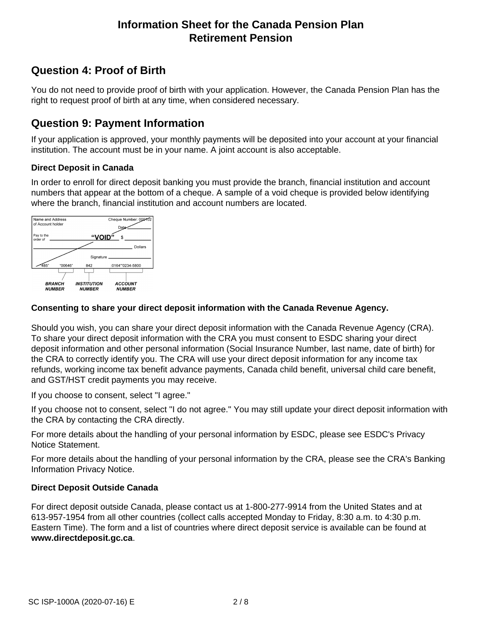# **Question 4: Proof of Birth**

You do not need to provide proof of birth with your application. However, the Canada Pension Plan has the right to request proof of birth at any time, when considered necessary.

### **Question 9: Payment Information**

If your application is approved, your monthly payments will be deposited into your account at your financial institution. The account must be in your name. A joint account is also acceptable.

#### **Direct Deposit in Canada**

In order to enroll for direct deposit banking you must provide the branch, financial institution and account numbers that appear at the bottom of a cheque. A sample of a void cheque is provided below identifying where the branch, financial institution and account numbers are located.



#### **Consenting to share your direct deposit information with the Canada Revenue Agency.**

Should you wish, you can share your direct deposit information with the Canada Revenue Agency (CRA). To share your direct deposit information with the CRA you must consent to ESDC sharing your direct deposit information and other personal information (Social Insurance Number, last name, date of birth) for the CRA to correctly identify you. The CRA will use your direct deposit information for any income tax refunds, working income tax benefit advance payments, Canada child benefit, universal child care benefit, and GST/HST credit payments you may receive.

If you choose to consent, select "I agree."

If you choose not to consent, select "I do not agree." You may still update your direct deposit information with the CRA by contacting the CRA directly.

For more details about the handling of your personal information by ESDC, please see ESDC's Privacy Notice Statement.

For more details about the handling of your personal information by the CRA, please see the CRA's Banking Information Privacy Notice.

#### **Direct Deposit Outside Canada**

For direct deposit outside Canada, please contact us at 1-800-277-9914 from the United States and at 613-957-1954 from all other countries (collect calls accepted Monday to Friday, 8:30 a.m. to 4:30 p.m. Eastern Time). The form and a list of countries where direct deposit service is available can be found at **www.directdeposit.gc.ca**.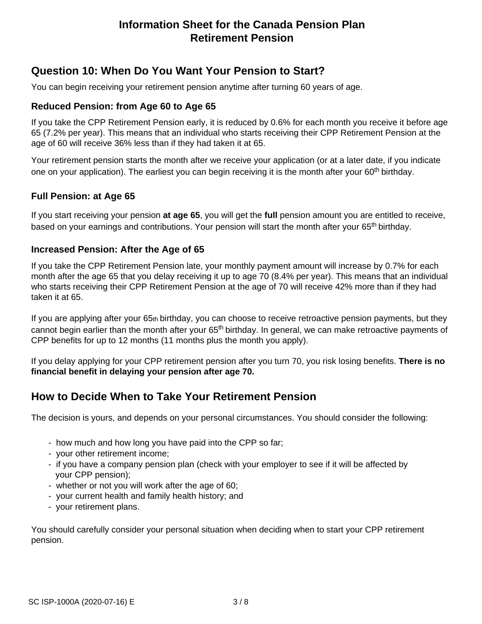## **Question 10: When Do You Want Your Pension to Start?**

You can begin receiving your retirement pension anytime after turning 60 years of age.

### **Reduced Pension: from Age 60 to Age 65**

If you take the CPP Retirement Pension early, it is reduced by 0.6% for each month you receive it before age 65 (7.2% per year). This means that an individual who starts receiving their CPP Retirement Pension at the age of 60 will receive 36% less than if they had taken it at 65.

Your retirement pension starts the month after we receive your application (or at a later date, if you indicate one on your application). The earliest you can begin receiving it is the month after your 60<sup>th</sup> birthday.

### **Full Pension: at Age 65**

If you start receiving your pension **at age 65**, you will get the **full** pension amount you are entitled to receive, based on your earnings and contributions. Your pension will start the month after your 65<sup>th</sup> birthday.

#### **Increased Pension: After the Age of 65**

If you take the CPP Retirement Pension late, your monthly payment amount will increase by 0.7% for each month after the age 65 that you delay receiving it up to age 70 (8.4% per year). This means that an individual who starts receiving their CPP Retirement Pension at the age of 70 will receive 42% more than if they had taken it at 65.

If you are applying after your 65th birthday, you can choose to receive retroactive pension payments, but they cannot begin earlier than the month after your 65<sup>th</sup> birthday. In general, we can make retroactive payments of CPP benefits for up to 12 months (11 months plus the month you apply).

If you delay applying for your CPP retirement pension after you turn 70, you risk losing benefits. **There is no financial benefit in delaying your pension after age 70.**

## **How to Decide When to Take Your Retirement Pension**

The decision is yours, and depends on your personal circumstances. You should consider the following:

- how much and how long you have paid into the CPP so far;
- your other retirement income;
- if you have a company pension plan (check with your employer to see if it will be affected by your CPP pension);
- whether or not you will work after the age of 60;
- your current health and family health history; and
- your retirement plans.

You should carefully consider your personal situation when deciding when to start your CPP retirement pension.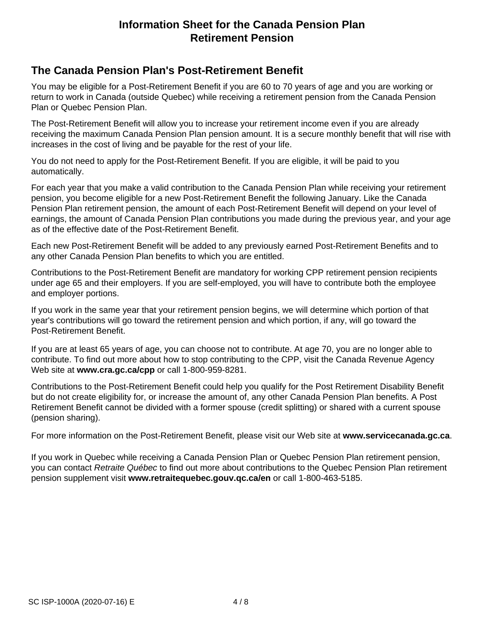### **The Canada Pension Plan's Post-Retirement Benefit**

You may be eligible for a Post-Retirement Benefit if you are 60 to 70 years of age and you are working or return to work in Canada (outside Quebec) while receiving a retirement pension from the Canada Pension Plan or Quebec Pension Plan.

The Post-Retirement Benefit will allow you to increase your retirement income even if you are already receiving the maximum Canada Pension Plan pension amount. It is a secure monthly benefit that will rise with increases in the cost of living and be payable for the rest of your life.

You do not need to apply for the Post-Retirement Benefit. If you are eligible, it will be paid to you automatically.

For each year that you make a valid contribution to the Canada Pension Plan while receiving your retirement pension, you become eligible for a new Post-Retirement Benefit the following January. Like the Canada Pension Plan retirement pension, the amount of each Post-Retirement Benefit will depend on your level of earnings, the amount of Canada Pension Plan contributions you made during the previous year, and your age as of the effective date of the Post-Retirement Benefit.

Each new Post-Retirement Benefit will be added to any previously earned Post-Retirement Benefits and to any other Canada Pension Plan benefits to which you are entitled.

Contributions to the Post-Retirement Benefit are mandatory for working CPP retirement pension recipients under age 65 and their employers. If you are self-employed, you will have to contribute both the employee and employer portions.

If you work in the same year that your retirement pension begins, we will determine which portion of that year's contributions will go toward the retirement pension and which portion, if any, will go toward the Post-Retirement Benefit.

If you are at least 65 years of age, you can choose not to contribute. At age 70, you are no longer able to contribute. To find out more about how to stop contributing to the CPP, visit the Canada Revenue Agency Web site at **www.cra.gc.ca/cpp** or call 1-800-959-8281.

Contributions to the Post-Retirement Benefit could help you qualify for the Post Retirement Disability Benefit but do not create eligibility for, or increase the amount of, any other Canada Pension Plan benefits. A Post Retirement Benefit cannot be divided with a former spouse (credit splitting) or shared with a current spouse (pension sharing).

For more information on the Post-Retirement Benefit, please visit our Web site at **www.servicecanada.gc.ca**.

If you work in Quebec while receiving a Canada Pension Plan or Quebec Pension Plan retirement pension, you can contact *Retraite Québec* to find out more about contributions to the Quebec Pension Plan retirement pension supplement visit **www.retraitequebec.gouv.qc.ca/en** or call 1-800-463-5185.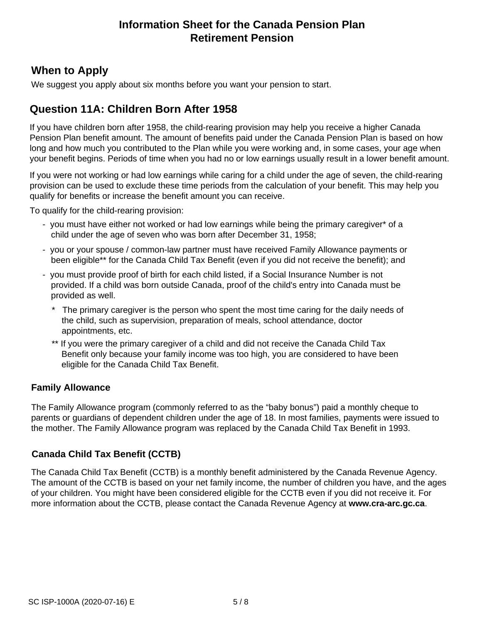### **When to Apply**

We suggest you apply about six months before you want your pension to start.

## **Question 11A: Children Born After 1958**

If you have children born after 1958, the child-rearing provision may help you receive a higher Canada Pension Plan benefit amount. The amount of benefits paid under the Canada Pension Plan is based on how long and how much you contributed to the Plan while you were working and, in some cases, your age when your benefit begins. Periods of time when you had no or low earnings usually result in a lower benefit amount.

If you were not working or had low earnings while caring for a child under the age of seven, the child-rearing provision can be used to exclude these time periods from the calculation of your benefit. This may help you qualify for benefits or increase the benefit amount you can receive.

To qualify for the child-rearing provision:

- you must have either not worked or had low earnings while being the primary caregiver\* of a child under the age of seven who was born after December 31, 1958;
- you or your spouse / common-law partner must have received Family Allowance payments or been eligible\*\* for the Canada Child Tax Benefit (even if you did not receive the benefit); and
- you must provide proof of birth for each child listed, if a Social Insurance Number is not provided. If a child was born outside Canada, proof of the child's entry into Canada must be provided as well.
	- \* The primary caregiver is the person who spent the most time caring for the daily needs of the child, such as supervision, preparation of meals, school attendance, doctor appointments, etc.
	- \*\* If you were the primary caregiver of a child and did not receive the Canada Child Tax Benefit only because your family income was too high, you are considered to have been eligible for the Canada Child Tax Benefit.

#### **Family Allowance**

The Family Allowance program (commonly referred to as the "baby bonus") paid a monthly cheque to parents or guardians of dependent children under the age of 18. In most families, payments were issued to the mother. The Family Allowance program was replaced by the Canada Child Tax Benefit in 1993.

### **Canada Child Tax Benefit (CCTB)**

The Canada Child Tax Benefit (CCTB) is a monthly benefit administered by the Canada Revenue Agency. The amount of the CCTB is based on your net family income, the number of children you have, and the ages of your children. You might have been considered eligible for the CCTB even if you did not receive it. For more information about the CCTB, please contact the Canada Revenue Agency at **www.cra-arc.gc.ca**.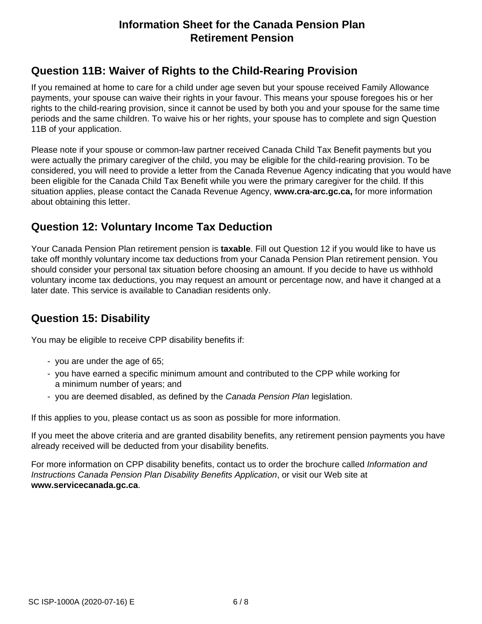# **Question 11B: Waiver of Rights to the Child-Rearing Provision**

If you remained at home to care for a child under age seven but your spouse received Family Allowance payments, your spouse can waive their rights in your favour. This means your spouse foregoes his or her rights to the child-rearing provision, since it cannot be used by both you and your spouse for the same time periods and the same children. To waive his or her rights, your spouse has to complete and sign Question 11B of your application.

Please note if your spouse or common-law partner received Canada Child Tax Benefit payments but you were actually the primary caregiver of the child, you may be eligible for the child-rearing provision. To be considered, you will need to provide a letter from the Canada Revenue Agency indicating that you would have been eligible for the Canada Child Tax Benefit while you were the primary caregiver for the child. If this situation applies, please contact the Canada Revenue Agency, **www.cra-arc.gc.ca,** for more information about obtaining this letter.

# **Question 12: Voluntary Income Tax Deduction**

Your Canada Pension Plan retirement pension is **taxable**. Fill out Question 12 if you would like to have us take off monthly voluntary income tax deductions from your Canada Pension Plan retirement pension. You should consider your personal tax situation before choosing an amount. If you decide to have us withhold voluntary income tax deductions, you may request an amount or percentage now, and have it changed at a later date. This service is available to Canadian residents only.

# **Question 15: Disability**

You may be eligible to receive CPP disability benefits if:

- you are under the age of 65;
- you have earned a specific minimum amount and contributed to the CPP while working for a minimum number of years; and
- you are deemed disabled, as defined by the *Canada Pension Plan* legislation.

If this applies to you, please contact us as soon as possible for more information.

If you meet the above criteria and are granted disability benefits, any retirement pension payments you have already received will be deducted from your disability benefits.

For more information on CPP disability benefits, contact us to order the brochure called *Information and Instructions Canada Pension Plan Disability Benefits Application*, or visit our Web site at **www.servicecanada.gc.ca**.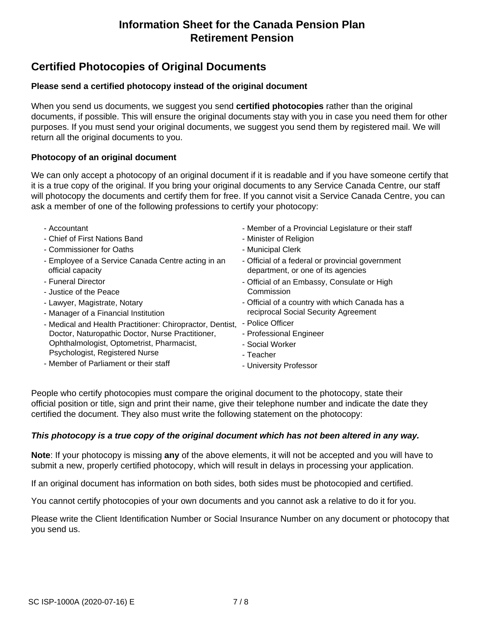# **Certified Photocopies of Original Documents**

#### **Please send a certified photocopy instead of the original document**

When you send us documents, we suggest you send **certified photocopies** rather than the original documents, if possible. This will ensure the original documents stay with you in case you need them for other purposes. If you must send your original documents, we suggest you send them by registered mail. We will return all the original documents to you.

#### **Photocopy of an original document**

We can only accept a photocopy of an original document if it is readable and if you have someone certify that it is a true copy of the original. If you bring your original documents to any Service Canada Centre, our staff will photocopy the documents and certify them for free. If you cannot visit a Service Canada Centre, you can ask a member of one of the following professions to certify your photocopy:

- Accountant - Chief of First Nations Band - Commissioner for Oaths - Employee of a Service Canada Centre acting in an official capacity - Funeral Director - Justice of the Peace - Lawyer, Magistrate, Notary - Manager of a Financial Institution - Medical and Health Practitioner: Chiropractor, Dentist, - Police Officer Doctor, Naturopathic Doctor, Nurse Practitioner, Ophthalmologist, Optometrist, Pharmacist, Psychologist, Registered Nurse - Member of Parliament or their staff - Member of a Provincial Legislature or their staff - Minister of Religion - Municipal Clerk - Official of a federal or provincial government department, or one of its agencies - Official of an Embassy, Consulate or High Commission - Official of a country with which Canada has a reciprocal Social Security Agreement - Professional Engineer - Social Worker - Teacher - University Professor

People who certify photocopies must compare the original document to the photocopy, state their official position or title, sign and print their name, give their telephone number and indicate the date they certified the document. They also must write the following statement on the photocopy:

#### *This photocopy is a true copy of the original document which has not been altered in any way.*

**Note**: If your photocopy is missing **any** of the above elements, it will not be accepted and you will have to submit a new, properly certified photocopy, which will result in delays in processing your application.

If an original document has information on both sides, both sides must be photocopied and certified.

You cannot certify photocopies of your own documents and you cannot ask a relative to do it for you.

Please write the Client Identification Number or Social Insurance Number on any document or photocopy that you send us.